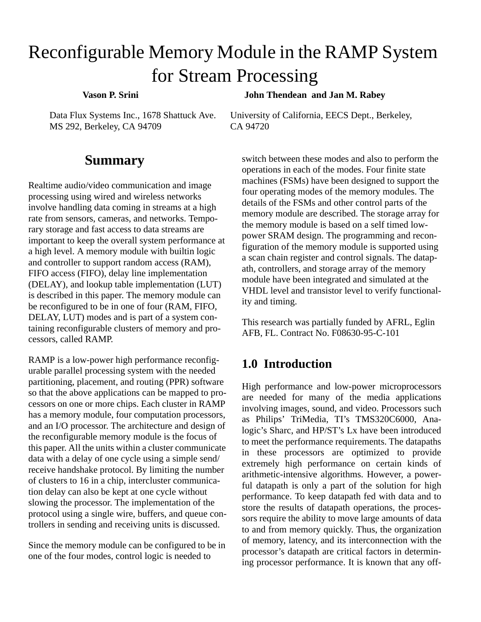# Reconfigurable Memory Module in the RAMP System for Stream Processing

 **Vason P. Srini**

 **John Thendean and Jan M. Rabey**

Data Flux Systems Inc., 1678 Shattuck Ave. MS 292, Berkeley, CA 94709

# **Summary**

Realtime audio/video communication and image processing using wired and wireless networks involve handling data coming in streams at a high rate from sensors, cameras, and networks. Temporary storage and fast access to data streams are important to keep the overall system performance at a high level. A memory module with builtin logic and controller to support random access (RAM), FIFO access (FIFO), delay line implementation (DELAY), and lookup table implementation (LUT) is described in this paper. The memory module can be reconfigured to be in one of four (RAM, FIFO, DELAY, LUT) modes and is part of a system containing reconfigurable clusters of memory and processors, called RAMP.

RAMP is a low-power high performance reconfigurable parallel processing system with the needed partitioning, placement, and routing (PPR) software so that the above applications can be mapped to processors on one or more chips. Each cluster in RAMP has a memory module, four computation processors, and an I/O processor. The architecture and design of the reconfigurable memory module is the focus of this paper. All the units within a cluster communicate data with a delay of one cycle using a simple send/ receive handshake protocol. By limiting the number of clusters to 16 in a chip, intercluster communication delay can also be kept at one cycle without slowing the processor. The implementation of the protocol using a single wire, buffers, and queue controllers in sending and receiving units is discussed.

Since the memory module can be configured to be in one of the four modes, control logic is needed to

University of California, EECS Dept., Berkeley, CA 94720

switch between these modes and also to perform the operations in each of the modes. Four finite state machines (FSMs) have been designed to support the four operating modes of the memory modules. The details of the FSMs and other control parts of the memory module are described. The storage array for the memory module is based on a self timed lowpower SRAM design. The programming and reconfiguration of the memory module is supported using a scan chain register and control signals. The datapath, controllers, and storage array of the memory module have been integrated and simulated at the VHDL level and transistor level to verify functionality and timing.

This research was partially funded by AFRL, Eglin AFB, FL. Contract No. F08630-95-C-101

# **1.0 Introduction**

High performance and low-power microprocessors are needed for many of the media applications involving images, sound, and video. Processors such as Philips' TriMedia, TI's TMS320C6000, Analogic's Sharc, and HP/ST's Lx have been introduced to meet the performance requirements. The datapaths in these processors are optimized to provide extremely high performance on certain kinds of arithmetic-intensive algorithms. However, a powerful datapath is only a part of the solution for high performance. To keep datapath fed with data and to store the results of datapath operations, the processors require the ability to move large amounts of data to and from memory quickly. Thus, the organization of memory, latency, and its interconnection with the processor's datapath are critical factors in determining processor performance. It is known that any off-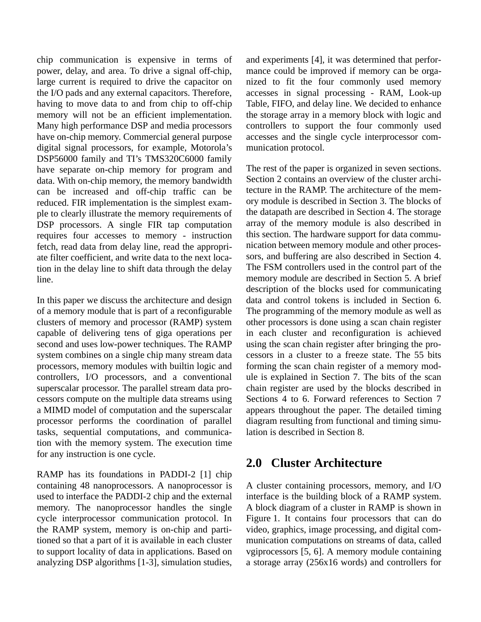chip communication is expensive in terms of power, delay, and area. To drive a signal off-chip, large current is required to drive the capacitor on the I/O pads and any external capacitors. Therefore, having to move data to and from chip to off-chip memory will not be an efficient implementation. Many high performance DSP and media processors have on-chip memory. Commercial general purpose digital signal processors, for example, Motorola's DSP56000 family and TI's TMS320C6000 family have separate on-chip memory for program and data. With on-chip memory, the memory bandwidth can be increased and off-chip traffic can be reduced. FIR implementation is the simplest example to clearly illustrate the memory requirements of DSP processors. A single FIR tap computation requires four accesses to memory - instruction fetch, read data from delay line, read the appropriate filter coefficient, and write data to the next location in the delay line to shift data through the delay line.

In this paper we discuss the architecture and design of a memory module that is part of a reconfigurable clusters of memory and processor (RAMP) system capable of delivering tens of giga operations per second and uses low-power techniques. The RAMP system combines on a single chip many stream data processors, memory modules with builtin logic and controllers, I/O processors, and a conventional superscalar processor. The parallel stream data processors compute on the multiple data streams using a MIMD model of computation and the superscalar processor performs the coordination of parallel tasks, sequential computations, and communication with the memory system. The execution time for any instruction is one cycle.

RAMP has its foundations in PADDI-2 [1] chip containing 48 nanoprocessors. A nanoprocessor is used to interface the PADDI-2 chip and the external memory. The nanoprocessor handles the single cycle interprocessor communication protocol. In the RAMP system, memory is on-chip and partitioned so that a part of it is available in each cluster to support locality of data in applications. Based on analyzing DSP algorithms [1-3], simulation studies,

and experiments [4], it was determined that performance could be improved if memory can be organized to fit the four commonly used memory accesses in signal processing - RAM, Look-up Table, FIFO, and delay line. We decided to enhance the storage array in a memory block with logic and controllers to support the four commonly used accesses and the single cycle interprocessor communication protocol.

The rest of the paper is organized in seven sections. Section 2 contains an overview of the cluster architecture in the RAMP. The architecture of the memory module is described in Section 3. The blocks of the datapath are described in Section 4. The storage array of the memory module is also described in this section. The hardware support for data communication between memory module and other processors, and buffering are also described in Section 4. The FSM controllers used in the control part of the memory module are described in Section 5. A brief description of the blocks used for communicating data and control tokens is included in Section 6. The programming of the memory module as well as other processors is done using a scan chain register in each cluster and reconfiguration is achieved using the scan chain register after bringing the processors in a cluster to a freeze state. The 55 bits forming the scan chain register of a memory module is explained in Section 7. The bits of the scan chain register are used by the blocks described in Sections 4 to 6. Forward references to Section 7 appears throughout the paper. The detailed timing diagram resulting from functional and timing simulation is described in Section 8.

# **2.0 Cluster Architecture**

A cluster containing processors, memory, and I/O interface is the building block of a RAMP system. A block diagram of a cluster in RAMP is shown in Figure 1. It contains four processors that can do video, graphics, image processing, and digital communication computations on streams of data, called vgiprocessors [5, 6]. A memory module containing a storage array (256x16 words) and controllers for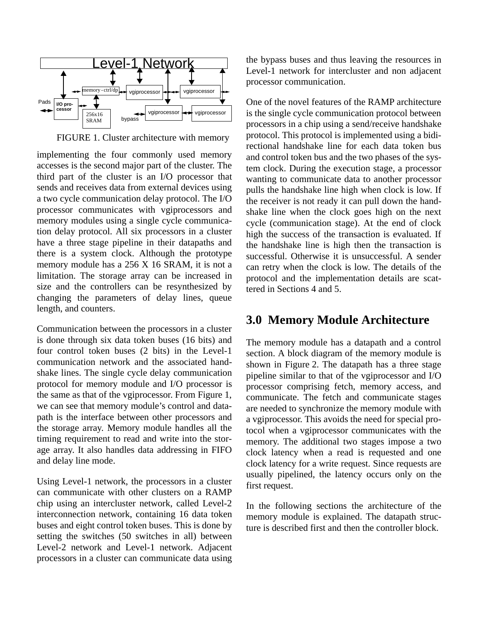

FIGURE 1. Cluster architecture with memory

implementing the four commonly used memory accesses is the second major part of the cluster. The third part of the cluster is an I/O processor that sends and receives data from external devices using a two cycle communication delay protocol. The I/O processor communicates with vgiprocessors and memory modules using a single cycle communication delay protocol. All six processors in a cluster have a three stage pipeline in their datapaths and there is a system clock. Although the prototype memory module has a 256 X 16 SRAM, it is not a limitation. The storage array can be increased in size and the controllers can be resynthesized by changing the parameters of delay lines, queue length, and counters.

Communication between the processors in a cluster is done through six data token buses (16 bits) and four control token buses (2 bits) in the Level-1 communication network and the associated handshake lines. The single cycle delay communication protocol for memory module and I/O processor is the same as that of the vgiprocessor. From Figure 1, we can see that memory module's control and datapath is the interface between other processors and the storage array. Memory module handles all the timing requirement to read and write into the storage array. It also handles data addressing in FIFO and delay line mode.

Using Level-1 network, the processors in a cluster can communicate with other clusters on a RAMP chip using an intercluster network, called Level-2 interconnection network, containing 16 data token buses and eight control token buses. This is done by setting the switches (50 switches in all) between Level-2 network and Level-1 network. Adjacent processors in a cluster can communicate data using the bypass buses and thus leaving the resources in Level-1 network for intercluster and non adjacent processor communication.

One of the novel features of the RAMP architecture is the single cycle communication protocol between processors in a chip using a send/receive handshake protocol. This protocol is implemented using a bidirectional handshake line for each data token bus and control token bus and the two phases of the system clock. During the execution stage, a processor wanting to communicate data to another processor pulls the handshake line high when clock is low. If the receiver is not ready it can pull down the handshake line when the clock goes high on the next cycle (communication stage). At the end of clock high the success of the transaction is evaluated. If the handshake line is high then the transaction is successful. Otherwise it is unsuccessful. A sender can retry when the clock is low. The details of the protocol and the implementation details are scattered in Sections 4 and 5.

## **3.0 Memory Module Architecture**

The memory module has a datapath and a control section. A block diagram of the memory module is shown in Figure 2. The datapath has a three stage pipeline similar to that of the vgiprocessor and I/O processor comprising fetch, memory access, and communicate. The fetch and communicate stages are needed to synchronize the memory module with a vgiprocessor. This avoids the need for special protocol when a vgiprocessor communicates with the memory. The additional two stages impose a two clock latency when a read is requested and one clock latency for a write request. Since requests are usually pipelined, the latency occurs only on the first request.

In the following sections the architecture of the memory module is explained. The datapath structure is described first and then the controller block.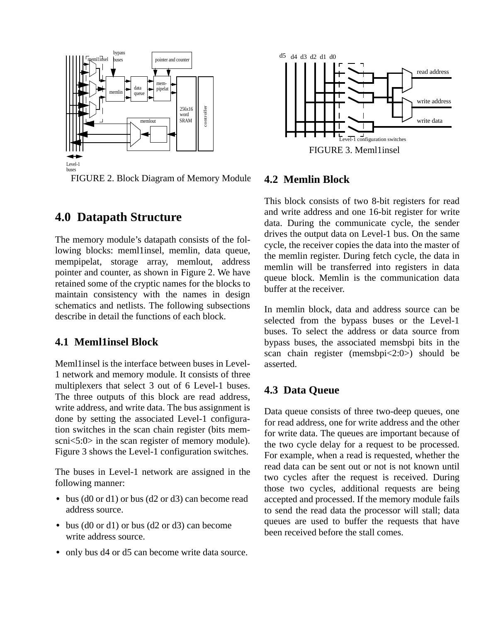

FIGURE 2. Block Diagram of Memory Module

# **4.0 Datapath Structure**

The memory module's datapath consists of the following blocks: meml1insel, memlin, data queue, mempipelat, storage array, memlout, address pointer and counter, as shown in Figure 2. We have retained some of the cryptic names for the blocks to maintain consistency with the names in design schematics and netlists. The following subsections describe in detail the functions of each block.

## **4.1 Meml1insel Block**

Meml1insel is the interface between buses in Level-1 network and memory module. It consists of three multiplexers that select 3 out of 6 Level-1 buses. The three outputs of this block are read address, write address, and write data. The bus assignment is done by setting the associated Level-1 configuration switches in the scan chain register (bits memscni<5:0> in the scan register of memory module). Figure 3 shows the Level-1 configuration switches.

The buses in Level-1 network are assigned in the following manner:

- bus (d0 or d1) or bus (d2 or d3) can become read address source.
- bus (d0 or d1) or bus (d2 or d3) can become write address source.
- only bus d4 or d5 can become write data source.



#### **4.2 Memlin Block**

This block consists of two 8-bit registers for read and write address and one 16-bit register for write data. During the communicate cycle, the sender drives the output data on Level-1 bus. On the same cycle, the receiver copies the data into the master of the memlin register. During fetch cycle, the data in memlin will be transferred into registers in data queue block. Memlin is the communication data buffer at the receiver.

In memlin block, data and address source can be selected from the bypass buses or the Level-1 buses. To select the address or data source from bypass buses, the associated memsbpi bits in the scan chain register (memsbpi<2:0>) should be asserted.

## **4.3 Data Queue**

Data queue consists of three two-deep queues, one for read address, one for write address and the other for write data. The queues are important because of the two cycle delay for a request to be processed. For example, when a read is requested, whether the read data can be sent out or not is not known until two cycles after the request is received. During those two cycles, additional requests are being accepted and processed. If the memory module fails to send the read data the processor will stall; data queues are used to buffer the requests that have been received before the stall comes.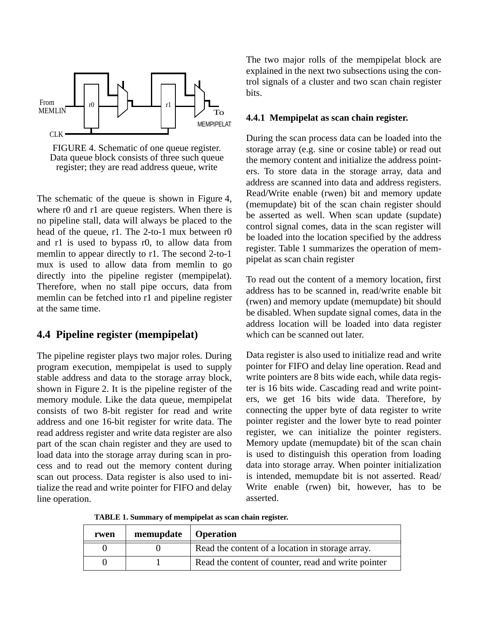

FIGURE 4. Schematic of one queue register. Data queue block consists of three such queue register; they are read address queue, write

The schematic of the queue is shown in Figure 4, where r0 and r1 are queue registers. When there is no pipeline stall, data will always be placed to the head of the queue, r1. The 2-to-1 mux between r0 and r1 is used to bypass r0, to allow data from memlin to appear directly to r1. The second 2-to-1 mux is used to allow data from memlin to go directly into the pipeline register (mempipelat). Therefore, when no stall pipe occurs, data from memlin can be fetched into r1 and pipeline register at the same time.

#### **4.4 Pipeline register (mempipelat)**

The pipeline register plays two major roles. During program execution, mempipelat is used to supply stable address and data to the storage array block, shown in Figure 2. It is the pipeline register of the memory module. Like the data queue, mempipelat consists of two 8-bit register for read and write address and one 16-bit register for write data. The read address register and write data register are also part of the scan chain register and they are used to load data into the storage array during scan in process and to read out the memory content during scan out process. Data register is also used to initialize the read and write pointer for FIFO and delay line operation.

The two major rolls of the mempipelat block are explained in the next two subsections using the control signals of a cluster and two scan chain register bits.

#### **4.4.1 Mempipelat as scan chain register.**

During the scan process data can be loaded into the storage array (e.g. sine or cosine table) or read out the memory content and initialize the address pointers. To store data in the storage array, data and address are scanned into data and address registers. Read/Write enable (rwen) bit and memory update (memupdate) bit of the scan chain register should be asserted as well. When scan update (supdate) control signal comes, data in the scan register will be loaded into the location specified by the address register. Table 1 summarizes the operation of mempipelat as scan chain register

To read out the content of a memory location, first address has to be scanned in, read/write enable bit (rwen) and memory update (memupdate) bit should be disabled. When supdate signal comes, data in the address location will be loaded into data register which can be scanned out later.

Data register is also used to initialize read and write pointer for FIFO and delay line operation. Read and write pointers are 8 bits wide each, while data register is 16 bits wide. Cascading read and write pointers, we get 16 bits wide data. Therefore, by connecting the upper byte of data register to write pointer register and the lower byte to read pointer register, we can initialize the pointer registers. Memory update (memupdate) bit of the scan chain is used to distinguish this operation from loading data into storage array. When pointer initialization is intended, memupdate bit is not asserted. Read/ Write enable (rwen) bit, however, has to be asserted.

**TABLE 1. Summary of mempipelat as scan chain register.**

| rwen | memupdate   Operation |                                                     |
|------|-----------------------|-----------------------------------------------------|
|      |                       | Read the content of a location in storage array.    |
|      |                       | Read the content of counter, read and write pointer |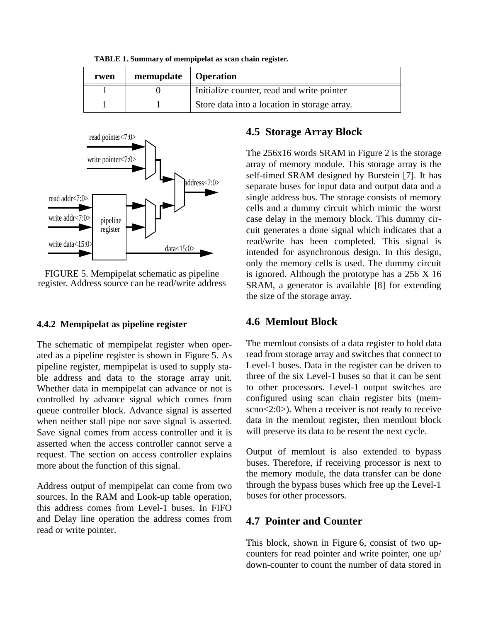|  |  | TABLE 1. Summary of mempipelat as scan chain register. |  |  |
|--|--|--------------------------------------------------------|--|--|
|--|--|--------------------------------------------------------|--|--|

| rwen | memupdate   Operation |                                              |
|------|-----------------------|----------------------------------------------|
|      |                       | Initialize counter, read and write pointer   |
|      |                       | Store data into a location in storage array. |



FIGURE 5. Mempipelat schematic as pipeline register. Address source can be read/write address

#### **4.4.2 Mempipelat as pipeline register**

The schematic of mempipelat register when operated as a pipeline register is shown in Figure 5. As pipeline register, mempipelat is used to supply stable address and data to the storage array unit. Whether data in mempipelat can advance or not is controlled by advance signal which comes from queue controller block. Advance signal is asserted when neither stall pipe nor save signal is asserted. Save signal comes from access controller and it is asserted when the access controller cannot serve a request. The section on access controller explains more about the function of this signal.

Address output of mempipelat can come from two sources. In the RAM and Look-up table operation, this address comes from Level-1 buses. In FIFO and Delay line operation the address comes from read or write pointer.

#### **4.5 Storage Array Block**

The 256x16 words SRAM in Figure 2 is the storage array of memory module. This storage array is the self-timed SRAM designed by Burstein [7]. It has separate buses for input data and output data and a single address bus. The storage consists of memory cells and a dummy circuit which mimic the worst case delay in the memory block. This dummy circuit generates a done signal which indicates that a read/write has been completed. This signal is intended for asynchronous design. In this design, only the memory cells is used. The dummy circuit is ignored. Although the prototype has a 256 X 16 SRAM, a generator is available [8] for extending the size of the storage array.

#### **4.6 Memlout Block**

The memlout consists of a data register to hold data read from storage array and switches that connect to Level-1 buses. Data in the register can be driven to three of the six Level-1 buses so that it can be sent to other processors. Level-1 output switches are configured using scan chain register bits (memscno<2:0>). When a receiver is not ready to receive data in the memlout register, then memlout block will preserve its data to be resent the next cycle.

Output of memlout is also extended to bypass buses. Therefore, if receiving processor is next to the memory module, the data transfer can be done through the bypass buses which free up the Level-1 buses for other processors.

#### **4.7 Pointer and Counter**

This block, shown in Figure 6, consist of two upcounters for read pointer and write pointer, one up/ down-counter to count the number of data stored in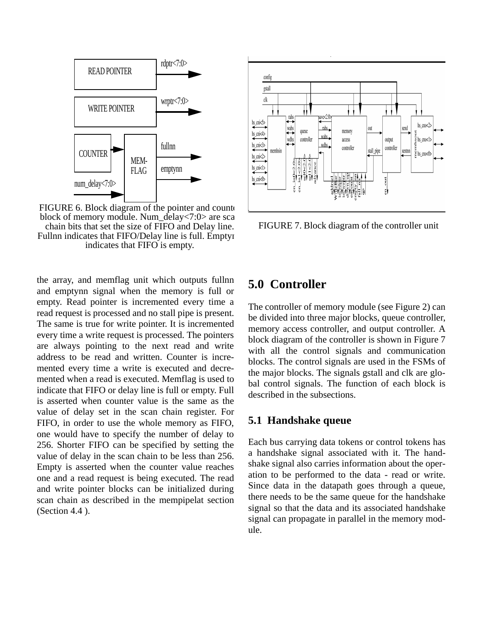

FIGURE 6. Block diagram of the pointer and counterblock of memory module. Num\_delay<7:0> are sca chain bits that set the size of FIFO and Delay line. Fullnn indicates that FIFO/Delay line is full. Emptyn indicates that FIFO is empty.

the array, and memflag unit which outputs fullnn and emptynn signal when the memory is full or empty. Read pointer is incremented every time a read request is processed and no stall pipe is present. The same is true for write pointer. It is incremented every time a write request is processed. The pointers are always pointing to the next read and write address to be read and written. Counter is incremented every time a write is executed and decremented when a read is executed. Memflag is used to indicate that FIFO or delay line is full or empty. Full is asserted when counter value is the same as the value of delay set in the scan chain register. For FIFO, in order to use the whole memory as FIFO, one would have to specify the number of delay to 256. Shorter FIFO can be specified by setting the value of delay in the scan chain to be less than 256. Empty is asserted when the counter value reaches one and a read request is being executed. The read and write pointer blocks can be initialized during scan chain as described in the mempipelat section (Section 4.4 ).



FIGURE 7. Block diagram of the controller unit

# **5.0 Controller**

The controller of memory module (see Figure 2) can be divided into three major blocks, queue controller, memory access controller, and output controller. A block diagram of the controller is shown in Figure 7 with all the control signals and communication blocks. The control signals are used in the FSMs of the major blocks. The signals gstall and clk are global control signals. The function of each block is described in the subsections.

#### **5.1 Handshake queue**

Each bus carrying data tokens or control tokens has a handshake signal associated with it. The handshake signal also carries information about the operation to be performed to the data - read or write. Since data in the datapath goes through a queue, there needs to be the same queue for the handshake signal so that the data and its associated handshake signal can propagate in parallel in the memory module.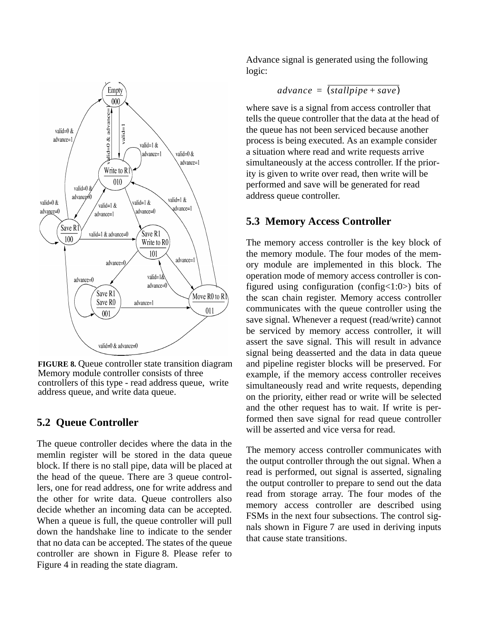

**FIGURE 8.** Queue controller state transition diagram Memory module controller consists of three controllers of this type - read address queue, write address queue, and write data queue.

## **5.2 Queue Controller**

The queue controller decides where the data in the memlin register will be stored in the data queue block. If there is no stall pipe, data will be placed at the head of the queue. There are 3 queue controllers, one for read address, one for write address and the other for write data. Queue controllers also decide whether an incoming data can be accepted. When a queue is full, the queue controller will pull down the handshake line to indicate to the sender that no data can be accepted. The states of the queue controller are shown in Figure 8. Please refer to Figure 4 in reading the state diagram.

Advance signal is generated using the following logic:

$$
advance = (stallpipe + save)
$$

where save is a signal from access controller that tells the queue controller that the data at the head of the queue has not been serviced because another process is being executed. As an example consider a situation where read and write requests arrive simultaneously at the access controller. If the priority is given to write over read, then write will be performed and save will be generated for read address queue controller.

## **5.3 Memory Access Controller**

The memory access controller is the key block of the memory module. The four modes of the memory module are implemented in this block. The operation mode of memory access controller is configured using configuration (config<1:0>) bits of the scan chain register. Memory access controller communicates with the queue controller using the save signal. Whenever a request (read/write) cannot be serviced by memory access controller, it will assert the save signal. This will result in advance signal being deasserted and the data in data queue and pipeline register blocks will be preserved. For example, if the memory access controller receives simultaneously read and write requests, depending on the priority, either read or write will be selected and the other request has to wait. If write is performed then save signal for read queue controller will be asserted and vice versa for read.

The memory access controller communicates with the output controller through the out signal. When a read is performed, out signal is asserted, signaling the output controller to prepare to send out the data read from storage array. The four modes of the memory access controller are described using FSMs in the next four subsections. The control signals shown in Figure 7 are used in deriving inputs that cause state transitions.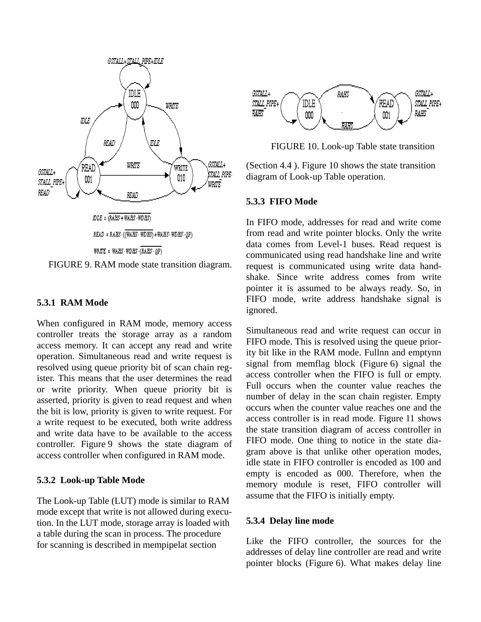

FIGURE 9. RAM mode state transition diagram.

#### **5.3.1 RAM Mode**

When configured in RAM mode, memory access controller treats the storage array as a random access memory. It can accept any read and write operation. Simultaneous read and write request is resolved using queue priority bit of scan chain register. This means that the user determines the read or write priority. When queue priority bit is asserted, priority is given to read request and when the bit is low, priority is given to write request. For a write request to be executed, both write address and write data have to be available to the access controller. Figure 9 shows the state diagram of access controller when configured in RAM mode.

#### **5.3.2 Look-up Table Mode**

The Look-up Table (LUT) mode is similar to RAM mode except that write is not allowed during execution. In the LUT mode, storage array is loaded with a table during the scan in process. The procedure for scanning is described in mempipelat section



FIGURE 10. Look-up Table state transition

(Section 4.4 ). Figure 10 shows the state transition diagram of Look-up Table operation.

#### **5.3.3 FIFO Mode**

In FIFO mode, addresses for read and write come from read and write pointer blocks. Only the write data comes from Level-1 buses. Read request is communicated using read handshake line and write request is communicated using write data handshake. Since write address comes from write pointer it is assumed to be always ready. So, in FIFO mode, write address handshake signal is ignored.

Simultaneous read and write request can occur in FIFO mode. This is resolved using the queue priority bit like in the RAM mode. Fullnn and emptynn signal from memflag block (Figure 6) signal the access controller when the FIFO is full or empty. Full occurs when the counter value reaches the number of delay in the scan chain register. Empty occurs when the counter value reaches one and the access controller is in read mode. Figure 11 shows the state transition diagram of access controller in FIFO mode. One thing to notice in the state diagram above is that unlike other operation modes, idle state in FIFO controller is encoded as 100 and empty is encoded as 000. Therefore, when the memory module is reset, FIFO controller will assume that the FIFO is initially empty.

#### **5.3.4 Delay line mode**

Like the FIFO controller, the sources for the addresses of delay line controller are read and write pointer blocks (Figure 6). What makes delay line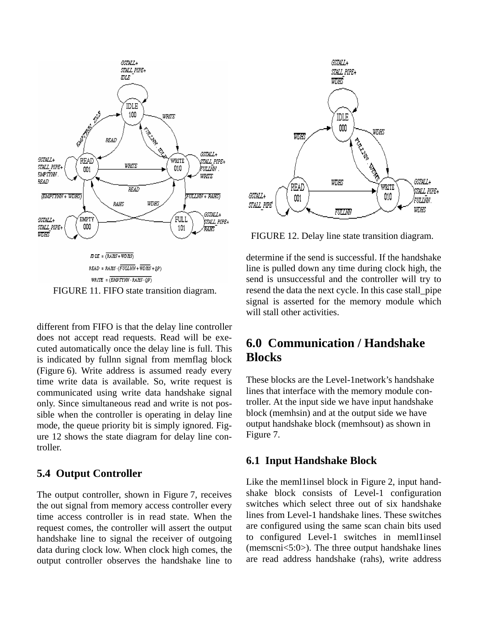

different from FIFO is that the delay line controller does not accept read requests. Read will be executed automatically once the delay line is full. This is indicated by fullnn signal from memflag block (Figure 6). Write address is assumed ready every time write data is available. So, write request is communicated using write data handshake signal only. Since simultaneous read and write is not possible when the controller is operating in delay line mode, the queue priority bit is simply ignored. Figure 12 shows the state diagram for delay line controller.

## **5.4 Output Controller**

The output controller, shown in Figure 7, receives the out signal from memory access controller every time access controller is in read state. When the request comes, the controller will assert the output handshake line to signal the receiver of outgoing data during clock low. When clock high comes, the output controller observes the handshake line to



FIGURE 12. Delay line state transition diagram.

determine if the send is successful. If the handshake line is pulled down any time during clock high, the send is unsuccessful and the controller will try to resend the data the next cycle. In this case stall\_pipe signal is asserted for the memory module which will stall other activities.

# **6.0 Communication / Handshake Blocks**

These blocks are the Level-1network's handshake lines that interface with the memory module controller. At the input side we have input handshake block (memhsin) and at the output side we have output handshake block (memhsout) as shown in Figure 7.

#### **6.1 Input Handshake Block**

Like the meml1insel block in Figure 2, input handshake block consists of Level-1 configuration switches which select three out of six handshake lines from Level-1 handshake lines. These switches are configured using the same scan chain bits used to configured Level-1 switches in meml1insel (memscni<5:0>). The three output handshake lines are read address handshake (rahs), write address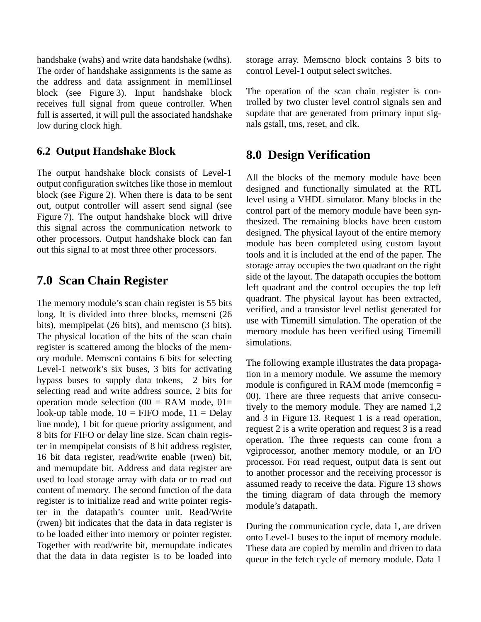handshake (wahs) and write data handshake (wdhs). The order of handshake assignments is the same as the address and data assignment in meml1insel block (see Figure 3). Input handshake block receives full signal from queue controller. When full is asserted, it will pull the associated handshake low during clock high.

## **6.2 Output Handshake Block**

The output handshake block consists of Level-1 output configuration switches like those in memlout block (see Figure 2). When there is data to be sent out, output controller will assert send signal (see Figure 7). The output handshake block will drive this signal across the communication network to other processors. Output handshake block can fan out this signal to at most three other processors.

## **7.0 Scan Chain Register**

The memory module's scan chain register is 55 bits long. It is divided into three blocks, memscni (26 bits), mempipelat (26 bits), and memscno (3 bits). The physical location of the bits of the scan chain register is scattered among the blocks of the memory module. Memscni contains 6 bits for selecting Level-1 network's six buses, 3 bits for activating bypass buses to supply data tokens, 2 bits for selecting read and write address source, 2 bits for operation mode selection (00 = RAM mode,  $01=$ look-up table mode,  $10 =$  FIFO mode,  $11 =$  Delay line mode), 1 bit for queue priority assignment, and 8 bits for FIFO or delay line size. Scan chain register in mempipelat consists of 8 bit address register, 16 bit data register, read/write enable (rwen) bit, and memupdate bit. Address and data register are used to load storage array with data or to read out content of memory. The second function of the data register is to initialize read and write pointer register in the datapath's counter unit. Read/Write (rwen) bit indicates that the data in data register is to be loaded either into memory or pointer register. Together with read/write bit, memupdate indicates that the data in data register is to be loaded into

storage array. Memscno block contains 3 bits to control Level-1 output select switches.

The operation of the scan chain register is controlled by two cluster level control signals sen and supdate that are generated from primary input signals gstall, tms, reset, and clk.

## **8.0 Design Verification**

All the blocks of the memory module have been designed and functionally simulated at the RTL level using a VHDL simulator. Many blocks in the control part of the memory module have been synthesized. The remaining blocks have been custom designed. The physical layout of the entire memory module has been completed using custom layout tools and it is included at the end of the paper. The storage array occupies the two quadrant on the right side of the layout. The datapath occupies the bottom left quadrant and the control occupies the top left quadrant. The physical layout has been extracted, verified, and a transistor level netlist generated for use with Timemill simulation. The operation of the memory module has been verified using Timemill simulations.

The following example illustrates the data propagation in a memory module. We assume the memory module is configured in RAM mode (memconfig = 00). There are three requests that arrive consecutively to the memory module. They are named 1,2 and 3 in Figure 13. Request 1 is a read operation, request 2 is a write operation and request 3 is a read operation. The three requests can come from a vgiprocessor, another memory module, or an I/O processor. For read request, output data is sent out to another processor and the receiving processor is assumed ready to receive the data. Figure 13 shows the timing diagram of data through the memory module's datapath.

During the communication cycle, data 1, are driven onto Level-1 buses to the input of memory module. These data are copied by memlin and driven to data queue in the fetch cycle of memory module. Data 1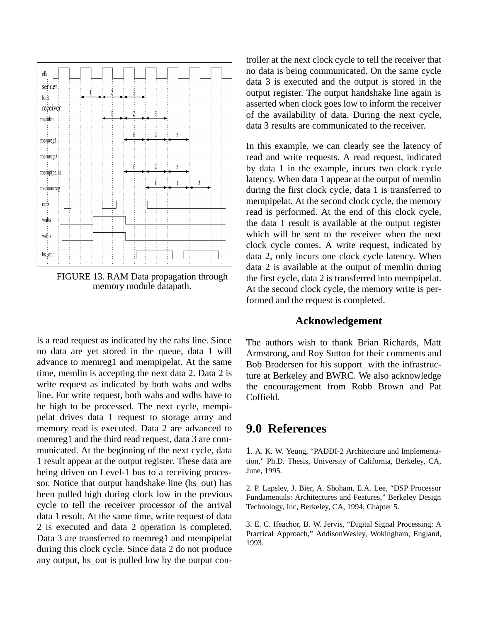

FIGURE 13. RAM Data propagation through memory module datapath.

is a read request as indicated by the rahs line. Since no data are yet stored in the queue, data 1 will advance to memreg1 and mempipelat. At the same time, memlin is accepting the next data 2. Data 2 is write request as indicated by both wahs and wdhs line. For write request, both wahs and wdhs have to be high to be processed. The next cycle, mempipelat drives data 1 request to storage array and memory read is executed. Data 2 are advanced to memreg1 and the third read request, data 3 are communicated. At the beginning of the next cycle, data 1 result appear at the output register. These data are being driven on Level-1 bus to a receiving processor. Notice that output handshake line (hs\_out) has been pulled high during clock low in the previous cycle to tell the receiver processor of the arrival data 1 result. At the same time, write request of data 2 is executed and data 2 operation is completed. Data 3 are transferred to memreg1 and mempipelat during this clock cycle. Since data 2 do not produce any output, hs\_out is pulled low by the output controller at the next clock cycle to tell the receiver that no data is being communicated. On the same cycle data 3 is executed and the output is stored in the output register. The output handshake line again is asserted when clock goes low to inform the receiver of the availability of data. During the next cycle, data 3 results are communicated to the receiver.

In this example, we can clearly see the latency of read and write requests. A read request, indicated by data 1 in the example, incurs two clock cycle latency. When data 1 appear at the output of memlin during the first clock cycle, data 1 is transferred to mempipelat. At the second clock cycle, the memory read is performed. At the end of this clock cycle, the data 1 result is available at the output register which will be sent to the receiver when the next clock cycle comes. A write request, indicated by data 2, only incurs one clock cycle latency. When data 2 is available at the output of memlin during the first cycle, data 2 is transferred into mempipelat. At the second clock cycle, the memory write is performed and the request is completed.

#### **Acknowledgement**

The authors wish to thank Brian Richards, Matt Armstrong, and Roy Sutton for their comments and Bob Brodersen for his support with the infrastructure at Berkeley and BWRC. We also acknowledge the encouragement from Robb Brown and Pat Coffield.

## **9.0 References**

1. A. K. W. Yeung, "PADDI-2 Architecture and Implementation," Ph.D. Thesis, University of California, Berkeley, CA, June, 1995.

2. P. Lapsley, J. Bier, A. Shoham, E.A. Lee, "DSP Processor Fundamentals: Architectures and Features," Berkeley Design Technology, Inc, Berkeley, CA, 1994, Chapter 5.

3. E. C. Ifeachor, B. W. Jervis, "Digital Signal Processing: A Practical Approach," AddisonWesley, Wokingham, England, 1993.